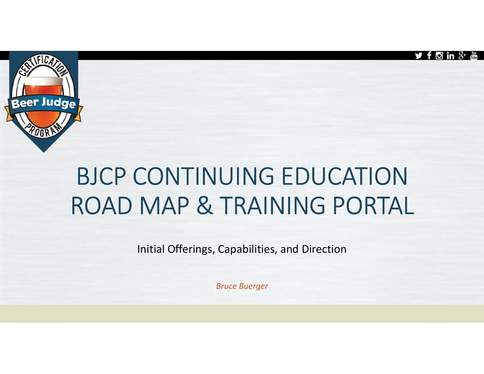



# BJCP CONTINUING EDUCATION ROAD MAP & TRAINING PORTAL

Initial Offerings, Capabilities, and Direction

Bruce Buerger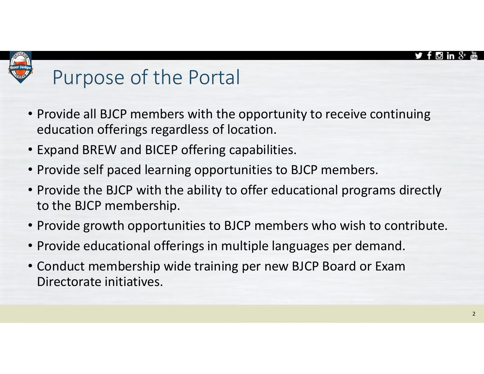

### Purpose of the Portal

- Provide all BJCP members with the opportunity to receive continuing education offerings regardless of location.
- Expand BREW and BICEP offering capabilities.
- Provide self paced learning opportunities to BJCP members.
- Provide the BJCP with the ability to offer educational programs directly to the BJCP membership.
- Provide growth opportunities to BJCP members who wish to contribute.
- Provide educational offerings in multiple languages per demand.
- Conduct membership wide training per new BJCP Board or Exam Directorate initiatives.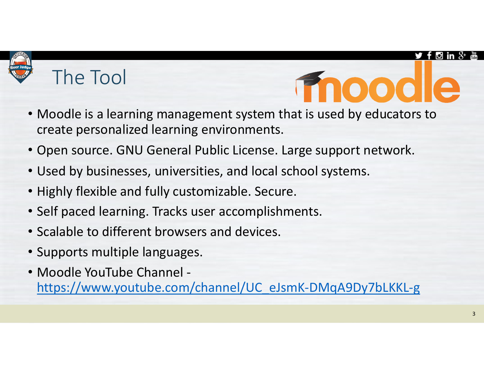### The Tool

- OOOI
- Moodle is a learning management system that is used by educators to create personalized learning environments.
- Open source. GNU General Public License. Large support network.
- Used by businesses, universities, and local school systems.
- Highly flexible and fully customizable. Secure.
- Self paced learning. Tracks user accomplishments.
- Scalable to different browsers and devices.
- Supports multiple languages.
- Moodle YouTube Channel https://www.youtube.com/channel/UC\_eJsmK-DMqA9Dy7bLKKL-g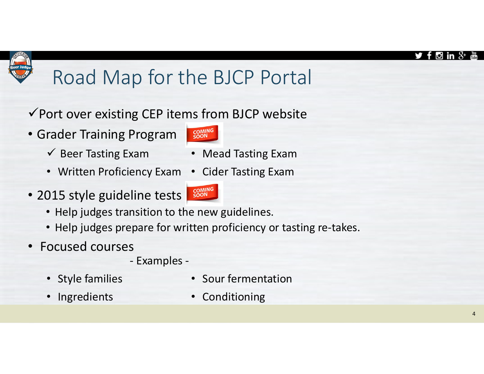### Road Map for the BJCP Portal

### $\checkmark$  Port over existing CEP items from BJCP website

- Grader Training Program
	- $\checkmark$  Beer Tasting Exam Mead Tasting Exam
	- Written Proficiency Exam Cider Tasting Exam
- 2015 style guideline tests



- Help judges transition to the new guidelines.
- Help judges prepare for written proficiency or tasting re-takes. rogram<br>
Frogram<br>
Wam • Mead Tasting Exam<br>
ency Exam • Cider Tasting Exam<br>
line tests<br>
sam line tests<br>
pare for written proficiency or tasting re-transport<br>
Sour fermentation<br>
From • Sour fermentation<br>
• Conditioning Framing Program<br>
• Source Tasting Exam<br>
• Written Proficiency Exam<br>
• Written Proficiency Exam<br>
• Signed Color Tasting Exam<br>
• Help judges transition to the new guidelines.<br>
• Help judges prepare for written proficiency o
- Focused courses
	-
	-

- 
- Ingredients Conditioning



- 
-